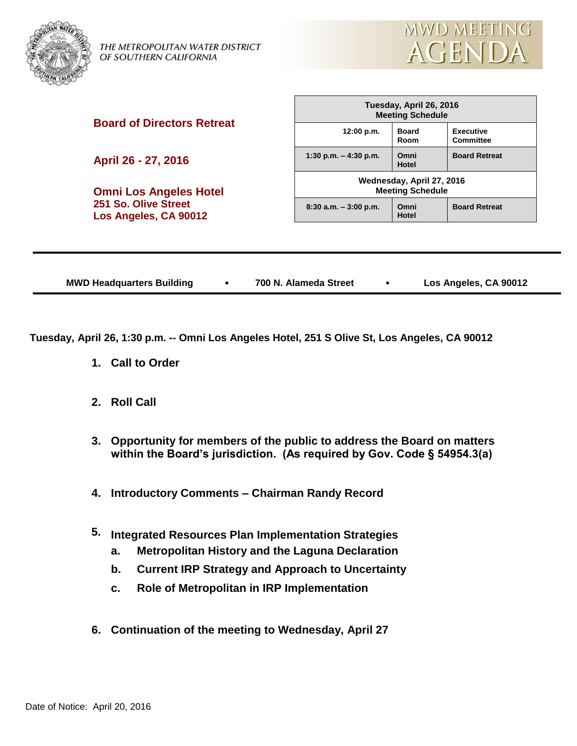

THE METROPOLITAN WATER DISTRICT OF SOUTHERN CALIFORNIA



**Board of Directors Retreat**

**April 26 - 27, 2016**

**Omni Los Angeles Hotel 251 So. Olive Street Los Angeles, CA 90012**

| Tuesday, April 26, 2016<br><b>Meeting Schedule</b>   |                      |                                      |  |  |  |
|------------------------------------------------------|----------------------|--------------------------------------|--|--|--|
| 12:00 p.m.                                           | <b>Board</b><br>Room | <b>Executive</b><br><b>Committee</b> |  |  |  |
| 1:30 p.m. $-$ 4:30 p.m.                              | Omni<br>Hotel        | <b>Board Retreat</b>                 |  |  |  |
| Wednesday, April 27, 2016<br><b>Meeting Schedule</b> |                      |                                      |  |  |  |
| $8:30$ a.m. $-3:00$ p.m.                             | Omni<br>Hotel        | <b>Board Retreat</b>                 |  |  |  |

|  | <b>MWD Headquarters Building</b> |  | 700 N. Alameda Street |  | Los Angeles, CA 90012 |
|--|----------------------------------|--|-----------------------|--|-----------------------|
|--|----------------------------------|--|-----------------------|--|-----------------------|

**Tuesday, April 26, 1:30 p.m. -- Omni Los Angeles Hotel, 251 S Olive St, Los Angeles, CA 90012**

- **1. Call to Order**
- **2. Roll Call**
- **3. Opportunity for members of the public to address the Board on matters within the Board's jurisdiction. (As required by Gov. Code § 54954.3(a)**
- **4. Introductory Comments – Chairman Randy Record**
- **5. Integrated Resources Plan Implementation Strategies**
	- **a. Metropolitan History and the Laguna Declaration**
	- **b. Current IRP Strategy and Approach to Uncertainty**
	- **c. Role of Metropolitan in IRP Implementation**
- **6. Continuation of the meeting to Wednesday, April 27**